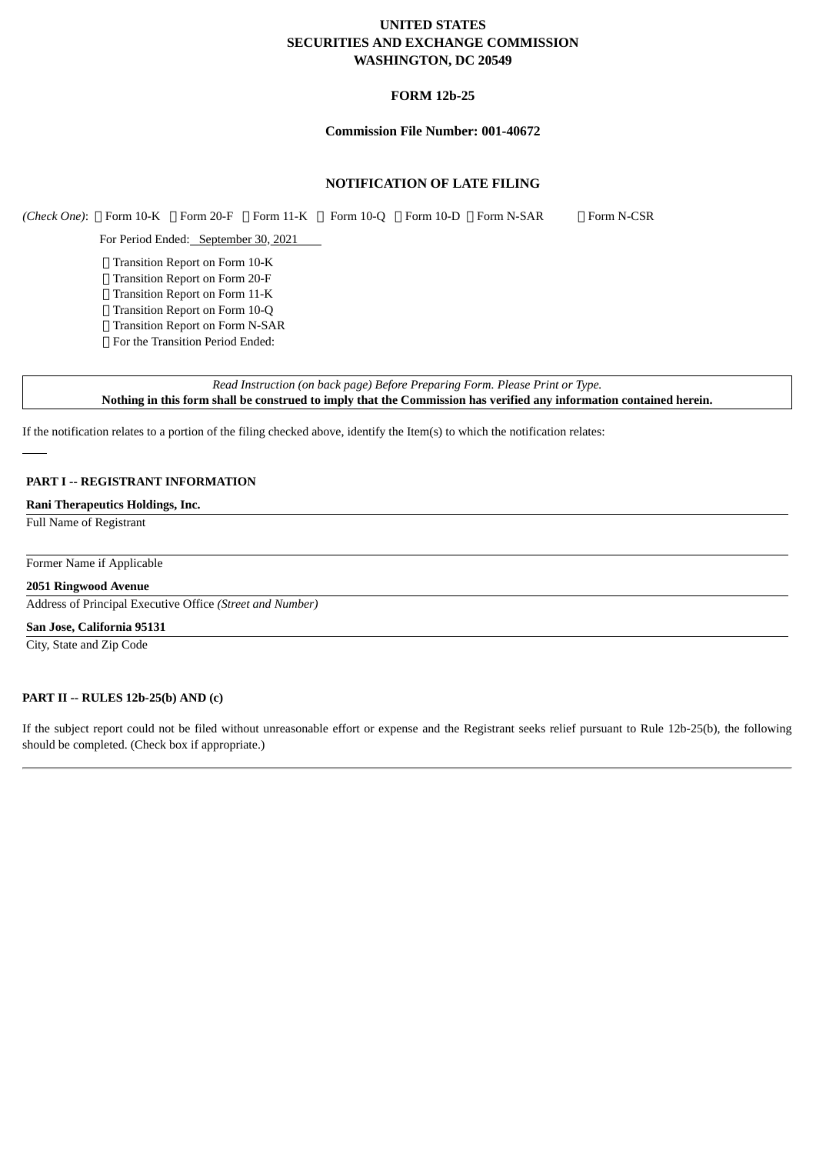# **UNITED STATES SECURITIES AND EXCHANGE COMMISSION WASHINGTON, DC 20549**

## **FORM 12b-25**

#### **Commission File Number: 001-40672**

#### **NOTIFICATION OF LATE FILING**

*(Check One)*: □ Form 10-K □ Form 20-F □ Form 11-K □ Form 10-Q □ Form 10-D □ Form N-SAR □ Form N-CSR

For Period Ended: September 30, 2021

□ Transition Report on Form 10-K

□ Transition Report on Form 20-F

□ Transition Report on Form 11-K

Transition Report on Form 10-Q

□ Transition Report on Form N-SAR

For the Transition Period Ended:

*Read Instruction (on back page) Before Preparing Form. Please Print or Type.* Nothing in this form shall be construed to imply that the Commission has verified any information contained herein.

If the notification relates to a portion of the filing checked above, identify the Item(s) to which the notification relates:

# **PART I -- REGISTRANT INFORMATION**

**Rani Therapeutics Holdings, Inc.**

Full Name of Registrant

Former Name if Applicable

### **2051 Ringwood Avenue**

Address of Principal Executive Office *(Street and Number)*

### **San Jose, California 95131**

City, State and Zip Code

### **PART II -- RULES 12b-25(b) AND (c)**

If the subject report could not be filed without unreasonable effort or expense and the Registrant seeks relief pursuant to Rule 12b-25(b), the following should be completed. (Check box if appropriate.)